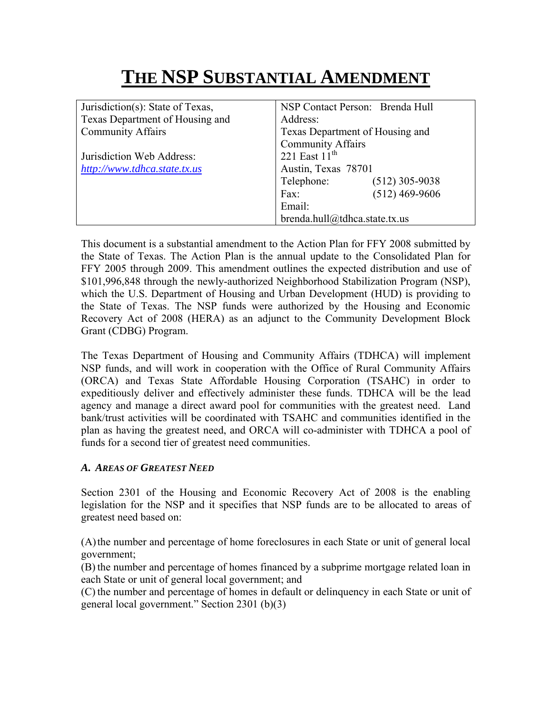# **THE NSP SUBSTANTIAL AMENDMENT**

| Jurisdiction(s): State of Texas, | NSP Contact Person: Brenda Hull |                  |
|----------------------------------|---------------------------------|------------------|
| Texas Department of Housing and  | Address:                        |                  |
| <b>Community Affairs</b>         | Texas Department of Housing and |                  |
|                                  | <b>Community Affairs</b>        |                  |
| Jurisdiction Web Address:        | 221 East $11th$                 |                  |
| http://www.tdhca.state.tx.us     | Austin, Texas 78701             |                  |
|                                  | Telephone:                      | $(512)$ 305-9038 |
|                                  | Fax:                            | $(512)$ 469-9606 |
|                                  | Email:                          |                  |
|                                  | brenda.hull@tdhca.state.tx.us   |                  |

This document is a substantial amendment to the Action Plan for FFY 2008 submitted by the State of Texas. The Action Plan is the annual update to the Consolidated Plan for FFY 2005 through 2009. This amendment outlines the expected distribution and use of \$101,996,848 through the newly-authorized Neighborhood Stabilization Program (NSP), which the U.S. Department of Housing and Urban Development (HUD) is providing to the State of Texas. The NSP funds were authorized by the Housing and Economic Recovery Act of 2008 (HERA) as an adjunct to the Community Development Block Grant (CDBG) Program.

The Texas Department of Housing and Community Affairs (TDHCA) will implement NSP funds, and will work in cooperation with the Office of Rural Community Affairs (ORCA) and Texas State Affordable Housing Corporation (TSAHC) in order to expeditiously deliver and effectively administer these funds. TDHCA will be the lead agency and manage a direct award pool for communities with the greatest need. Land bank/trust activities will be coordinated with TSAHC and communities identified in the plan as having the greatest need, and ORCA will co-administer with TDHCA a pool of funds for a second tier of greatest need communities.

# *A. AREAS OF GREATEST NEED*

Section 2301 of the Housing and Economic Recovery Act of 2008 is the enabling legislation for the NSP and it specifies that NSP funds are to be allocated to areas of greatest need based on:

(A)the number and percentage of home foreclosures in each State or unit of general local government;

(B) the number and percentage of homes financed by a subprime mortgage related loan in each State or unit of general local government; and

(C) the number and percentage of homes in default or delinquency in each State or unit of general local government." Section 2301 (b)(3)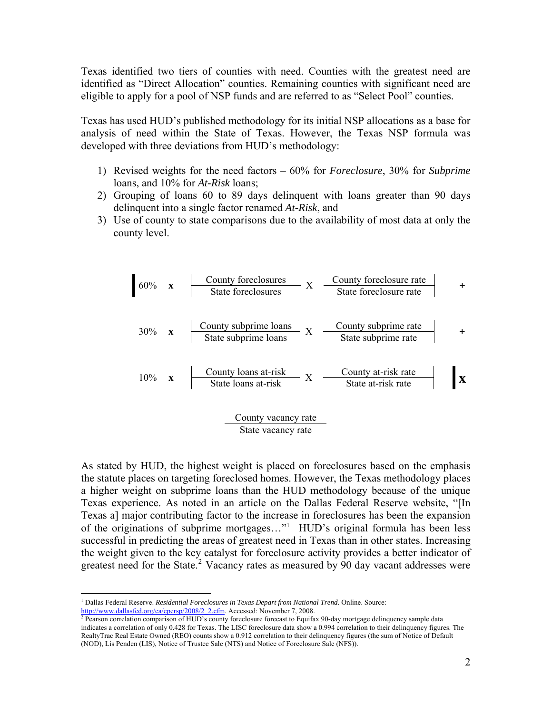Texas identified two tiers of counties with need. Counties with the greatest need are identified as "Direct Allocation" counties. Remaining counties with significant need are eligible to apply for a pool of NSP funds and are referred to as "Select Pool" counties.

Texas has used HUD's published methodology for its initial NSP allocations as a base for analysis of need within the State of Texas. However, the Texas NSP formula was developed with three deviations from HUD's methodology:

- 1) Revised weights for the need factors 60% for *Foreclosure*, 30% for *Subprime* loans, and 10% for *At-Risk* loans;
- 2) Grouping of loans 60 to 89 days delinquent with loans greater than 90 days delinquent into a single factor renamed *At-Risk*, and
- 3) Use of county to state comparisons due to the availability of most data at only the county level.



As stated by HUD, the highest weight is placed on foreclosures based on the emphasis the statute places on targeting foreclosed homes. However, the Texas methodology places a higher weight on subprime loans than the HUD methodology because of the unique Texas experience. As noted in an article on the Dallas Federal Reserve website, "[In Texas a] major contributing factor to the increase in foreclosures has been the expansion of the originations of subprime mortgages…"[1](#page-1-0) HUD's original formula has been less successful in predicting the areas of greatest need in Texas than in other states. Increasing the weight given to the key catalyst for foreclosure activity provides a better indicator of greatest need for the State.<sup>[2](#page-1-1)</sup> Vacancy rates as measured by  $\overline{90}$  day vacant addresses were

 $\overline{a}$ 

<span id="page-1-0"></span><sup>&</sup>lt;sup>1</sup> Dallas Federal Reserve. *Residential Foreclosures in Texas Depart from National Trend*. Online. Source: [http://www.dallasfed.org/ca/epersp/2008/2\\_2.cfm](http://www.dallasfed.org/ca/epersp/2008/2_2.cfm). Accessed: November 7, [2](http://www.dallasfed.org/ca/epersp/2008/2_2.cfm)008.

<span id="page-1-1"></span> $\frac{1}{2}$  Pearson correlation comparison of HUD's county foreclosure forecast to Equifax 90-day mortgage delinquency sample data indicates a correlation of only 0.428 for Texas. The LISC foreclosure data show a 0.994 correlation to their delinquency figures. The RealtyTrac Real Estate Owned (REO) counts show a 0.912 correlation to their delinquency figures (the sum of Notice of Default (NOD), Lis Penden (LIS), Notice of Trustee Sale (NTS) and Notice of Foreclosure Sale (NFS)).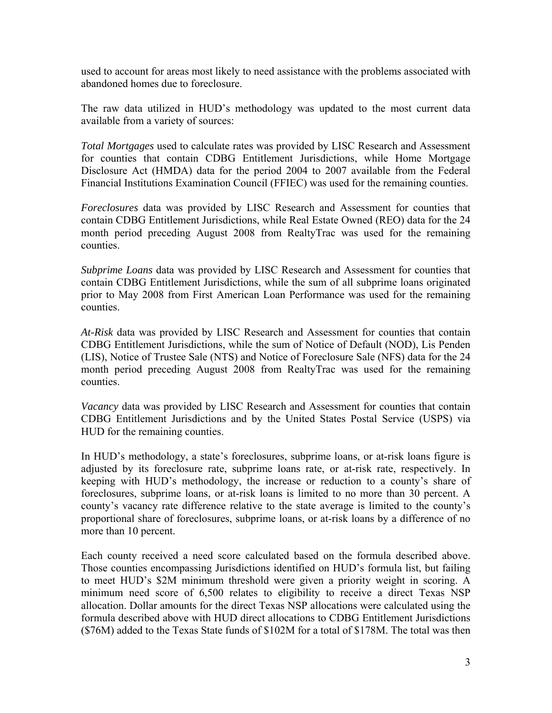used to account for areas most likely to need assistance with the problems associated with abandoned homes due to foreclosure.

The raw data utilized in HUD's methodology was updated to the most current data available from a variety of sources:

*Total Mortgages* used to calculate rates was provided by LISC Research and Assessment for counties that contain CDBG Entitlement Jurisdictions, while Home Mortgage Disclosure Act (HMDA) data for the period 2004 to 2007 available from the Federal Financial Institutions Examination Council (FFIEC) was used for the remaining counties.

*Foreclosures* data was provided by LISC Research and Assessment for counties that contain CDBG Entitlement Jurisdictions, while Real Estate Owned (REO) data for the 24 month period preceding August 2008 from RealtyTrac was used for the remaining counties.

*Subprime Loans* data was provided by LISC Research and Assessment for counties that contain CDBG Entitlement Jurisdictions, while the sum of all subprime loans originated prior to May 2008 from First American Loan Performance was used for the remaining counties.

*At-Risk* data was provided by LISC Research and Assessment for counties that contain CDBG Entitlement Jurisdictions, while the sum of Notice of Default (NOD), Lis Penden (LIS), Notice of Trustee Sale (NTS) and Notice of Foreclosure Sale (NFS) data for the 24 month period preceding August 2008 from RealtyTrac was used for the remaining counties.

*Vacancy* data was provided by LISC Research and Assessment for counties that contain CDBG Entitlement Jurisdictions and by the United States Postal Service (USPS) via HUD for the remaining counties.

In HUD's methodology, a state's foreclosures, subprime loans, or at-risk loans figure is adjusted by its foreclosure rate, subprime loans rate, or at-risk rate, respectively. In keeping with HUD's methodology, the increase or reduction to a county's share of foreclosures, subprime loans, or at-risk loans is limited to no more than 30 percent. A county's vacancy rate difference relative to the state average is limited to the county's proportional share of foreclosures, subprime loans, or at-risk loans by a difference of no more than 10 percent.

Each county received a need score calculated based on the formula described above. Those counties encompassing Jurisdictions identified on HUD's formula list, but failing to meet HUD's \$2M minimum threshold were given a priority weight in scoring. A minimum need score of 6,500 relates to eligibility to receive a direct Texas NSP allocation. Dollar amounts for the direct Texas NSP allocations were calculated using the formula described above with HUD direct allocations to CDBG Entitlement Jurisdictions (\$76M) added to the Texas State funds of \$102M for a total of \$178M. The total was then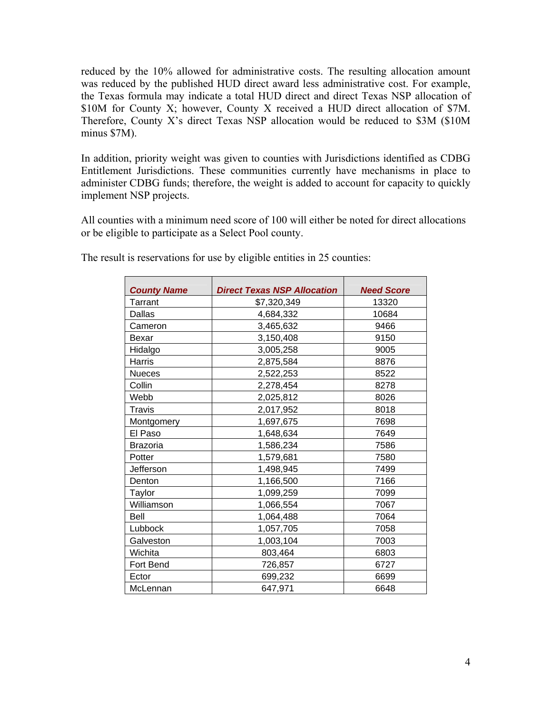reduced by the 10% allowed for administrative costs. The resulting allocation amount was reduced by the published HUD direct award less administrative cost. For example, the Texas formula may indicate a total HUD direct and direct Texas NSP allocation of \$10M for County X; however, County X received a HUD direct allocation of \$7M. Therefore, County X's direct Texas NSP allocation would be reduced to \$3M (\$10M minus \$7M).

In addition, priority weight was given to counties with Jurisdictions identified as CDBG Entitlement Jurisdictions. These communities currently have mechanisms in place to administer CDBG funds; therefore, the weight is added to account for capacity to quickly implement NSP projects.

All counties with a minimum need score of 100 will either be noted for direct allocations or be eligible to participate as a Select Pool county.

| <b>County Name</b> | <b>Direct Texas NSP Allocation</b> | <b>Need Score</b> |
|--------------------|------------------------------------|-------------------|
| Tarrant            | \$7,320,349                        | 13320             |
| Dallas             | 4,684,332                          | 10684             |
| Cameron            | 3,465,632                          | 9466              |
| Bexar              | 3,150,408                          | 9150              |
| Hidalgo            | 3,005,258                          | 9005              |
| Harris             | 2,875,584                          | 8876              |
| <b>Nueces</b>      | 2,522,253                          | 8522              |
| Collin             | 2,278,454                          | 8278              |
| Webb               | 2,025,812                          | 8026              |
| Travis             | 2,017,952                          | 8018              |
| Montgomery         | 1,697,675                          | 7698              |
| El Paso            | 1,648,634                          | 7649              |
| Brazoria           | 1,586,234                          | 7586              |
| Potter             | 1,579,681                          | 7580              |
| Jefferson          | 1,498,945                          | 7499              |
| Denton             | 1,166,500                          | 7166              |
| Taylor             | 1,099,259                          | 7099              |
| Williamson         | 1,066,554                          | 7067              |
| Bell               | 1,064,488                          | 7064              |
| Lubbock            | 1,057,705                          | 7058              |
| Galveston          | 1,003,104                          | 7003              |
| Wichita            | 803,464                            | 6803              |
| Fort Bend          | 726,857                            | 6727              |
| Ector              | 699,232                            | 6699              |
| McLennan           | 647,971                            | 6648              |

The result is reservations for use by eligible entities in 25 counties:

 $\blacksquare$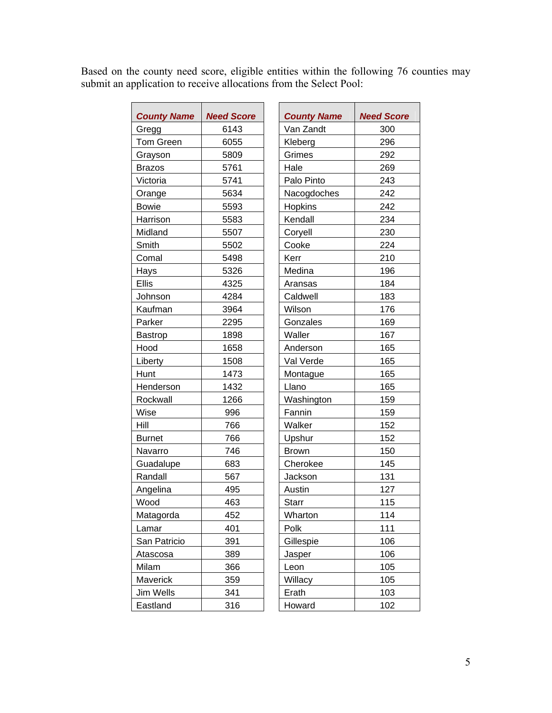Based on the county need score, eligible entities within the following 76 counties may submit an application to receive allocations from the Select Pool:

| <b>County Name</b> | <b>Need Score</b> | <b>County Name</b> | <b>Need Score</b> |
|--------------------|-------------------|--------------------|-------------------|
| Gregg              | 6143              | Van Zandt          | 300               |
| <b>Tom Green</b>   | 6055              | Kleberg            | 296               |
| Grayson            | 5809              | Grimes             | 292               |
| <b>Brazos</b>      | 5761              | Hale               | 269               |
| Victoria           | 5741              | Palo Pinto         | 243               |
| Orange             | 5634              | Nacogdoches        | 242               |
| <b>Bowie</b>       | 5593              | Hopkins            | 242               |
| Harrison           | 5583              | Kendall            | 234               |
| Midland            | 5507              | Coryell            | 230               |
| Smith              | 5502              | Cooke              | 224               |
| Comal              | 5498              | Kerr               | 210               |
| Hays               | 5326              | Medina             | 196               |
| <b>Ellis</b>       | 4325              | Aransas            | 184               |
| Johnson            | 4284              | Caldwell           | 183               |
| Kaufman            | 3964              | Wilson             | 176               |
| Parker             | 2295              | Gonzales           | 169               |
| <b>Bastrop</b>     | 1898              | Waller             | 167               |
| Hood               | 1658              | Anderson           | 165               |
| Liberty            | 1508              | Val Verde          | 165               |
| Hunt               | 1473              | Montague           | 165               |
| Henderson          | 1432              | Llano              | 165               |
| Rockwall           | 1266              | Washington         | 159               |
| Wise               | 996               | Fannin             | 159               |
| Hill               | 766               | Walker             | 152               |
| <b>Burnet</b>      | 766               | Upshur             | 152               |
| Navarro            | 746               | <b>Brown</b>       | 150               |
| Guadalupe          | 683               | Cherokee           | 145               |
| Randall            | 567               | Jackson            | 131               |
| Angelina           | 495               | Austin             | 127               |
| Wood               | 463               | <b>Starr</b>       | 115               |
| Matagorda          | 452               | Wharton            | 114               |
| Lamar              | 401               | Polk               | 111               |
| San Patricio       | 391               | Gillespie          | 106               |
| Atascosa           | 389               | Jasper             | 106               |
| Milam              | 366               | Leon               | 105               |
| Maverick           | 359               | Willacy            | 105               |
| Jim Wells          | 341               | Erath              | 103               |
| Eastland           | 316               | Howard             | 102               |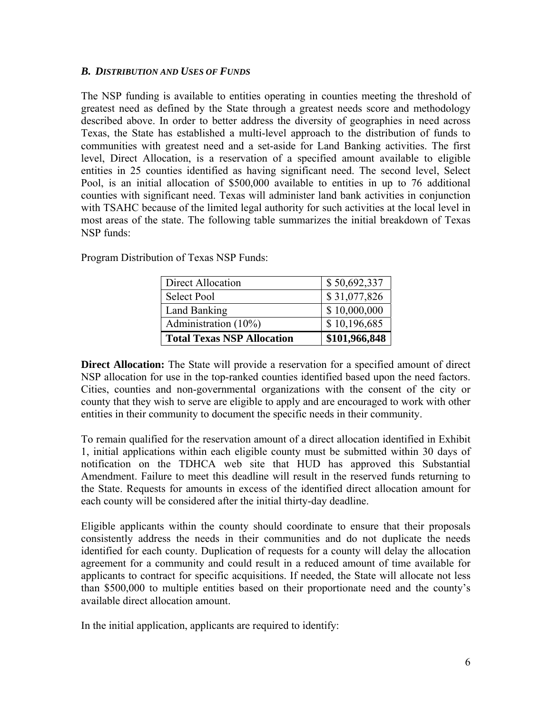## *B. DISTRIBUTION AND USES OF FUNDS*

The NSP funding is available to entities operating in counties meeting the threshold of greatest need as defined by the State through a greatest needs score and methodology described above. In order to better address the diversity of geographies in need across Texas, the State has established a multi-level approach to the distribution of funds to communities with greatest need and a set-aside for Land Banking activities. The first level, Direct Allocation, is a reservation of a specified amount available to eligible entities in 25 counties identified as having significant need. The second level, Select Pool, is an initial allocation of \$500,000 available to entities in up to 76 additional counties with significant need. Texas will administer land bank activities in conjunction with TSAHC because of the limited legal authority for such activities at the local level in most areas of the state. The following table summarizes the initial breakdown of Texas NSP funds:

| Direct Allocation                 | \$50,692,337  |
|-----------------------------------|---------------|
| <b>Select Pool</b>                | \$31,077,826  |
| Land Banking                      | \$10,000,000  |
| Administration (10%)              | \$10,196,685  |
| <b>Total Texas NSP Allocation</b> | \$101,966,848 |

Program Distribution of Texas NSP Funds:

**Direct Allocation:** The State will provide a reservation for a specified amount of direct NSP allocation for use in the top-ranked counties identified based upon the need factors. Cities, counties and non-governmental organizations with the consent of the city or county that they wish to serve are eligible to apply and are encouraged to work with other entities in their community to document the specific needs in their community.

To remain qualified for the reservation amount of a direct allocation identified in Exhibit 1, initial applications within each eligible county must be submitted within 30 days of notification on the TDHCA web site that HUD has approved this Substantial Amendment. Failure to meet this deadline will result in the reserved funds returning to the State. Requests for amounts in excess of the identified direct allocation amount for each county will be considered after the initial thirty-day deadline.

Eligible applicants within the county should coordinate to ensure that their proposals consistently address the needs in their communities and do not duplicate the needs identified for each county. Duplication of requests for a county will delay the allocation agreement for a community and could result in a reduced amount of time available for applicants to contract for specific acquisitions. If needed, the State will allocate not less than \$500,000 to multiple entities based on their proportionate need and the county's available direct allocation amount.

In the initial application, applicants are required to identify: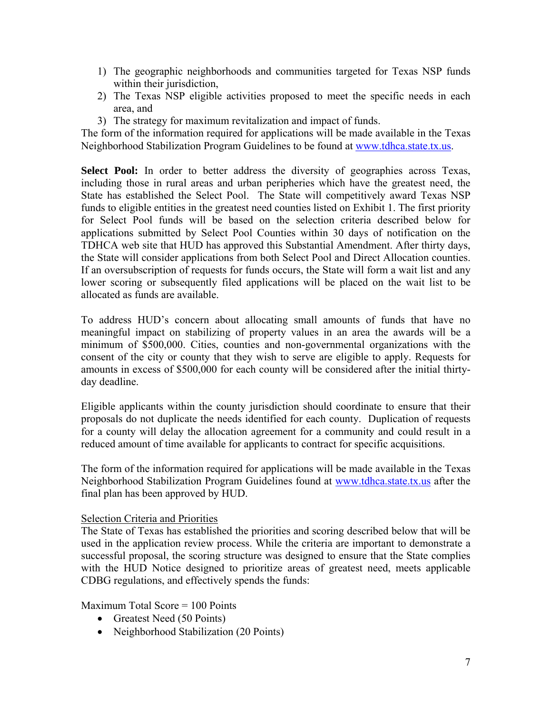- 1) The geographic neighborhoods and communities targeted for Texas NSP funds within their jurisdiction,
- 2) The Texas NSP eligible activities proposed to meet the specific needs in each area, and
- 3) The strategy for maximum revitalization and impact of funds.

The form of the information required for applications will be made available in the Texas Neighborhood Stabilization Program Guidelines to be found at [www.tdhca.state.tx.us.](http://www.tdhca.state.tx.us/)

**Select Pool:** In order to better address the diversity of geographies across Texas, including those in rural areas and urban peripheries which have the greatest need, the State has established the Select Pool. The State will competitively award Texas NSP funds to eligible entities in the greatest need counties listed on Exhibit 1. The first priority for Select Pool funds will be based on the selection criteria described below for applications submitted by Select Pool Counties within 30 days of notification on the TDHCA web site that HUD has approved this Substantial Amendment. After thirty days, the State will consider applications from both Select Pool and Direct Allocation counties. If an oversubscription of requests for funds occurs, the State will form a wait list and any lower scoring or subsequently filed applications will be placed on the wait list to be allocated as funds are available.

To address HUD's concern about allocating small amounts of funds that have no meaningful impact on stabilizing of property values in an area the awards will be a minimum of \$500,000. Cities, counties and non-governmental organizations with the consent of the city or county that they wish to serve are eligible to apply. Requests for amounts in excess of \$500,000 for each county will be considered after the initial thirtyday deadline.

Eligible applicants within the county jurisdiction should coordinate to ensure that their proposals do not duplicate the needs identified for each county. Duplication of requests for a county will delay the allocation agreement for a community and could result in a reduced amount of time available for applicants to contract for specific acquisitions.

The form of the information required for applications will be made available in the Texas Neighborhood Stabilization Program Guidelines found at [www.tdhca.state.tx.us](http://www.tdhca.state.tx.us/) after the final plan has been approved by HUD.

# Selection Criteria and Priorities

The State of Texas has established the priorities and scoring described below that will be used in the application review process. While the criteria are important to demonstrate a successful proposal, the scoring structure was designed to ensure that the State complies with the HUD Notice designed to prioritize areas of greatest need, meets applicable CDBG regulations, and effectively spends the funds:

Maximum Total Score = 100 Points

- Greatest Need (50 Points)
- Neighborhood Stabilization (20 Points)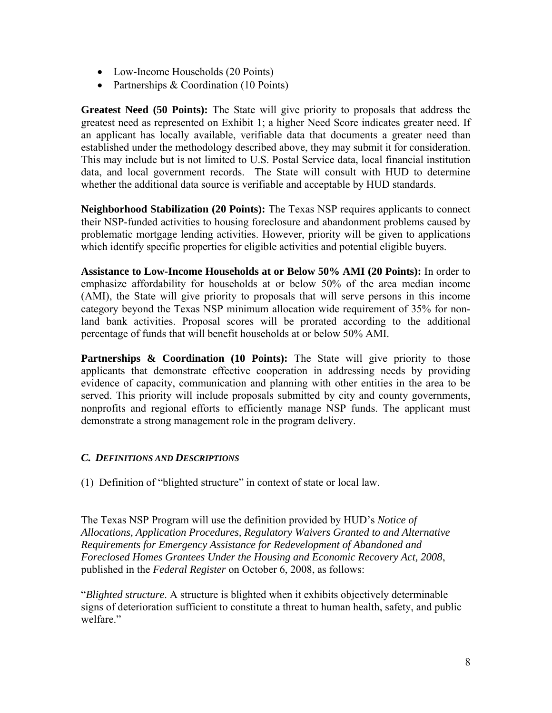- Low-Income Households (20 Points)
- Partnerships & Coordination (10 Points)

**Greatest Need (50 Points):** The State will give priority to proposals that address the greatest need as represented on Exhibit 1; a higher Need Score indicates greater need. If an applicant has locally available, verifiable data that documents a greater need than established under the methodology described above, they may submit it for consideration. This may include but is not limited to U.S. Postal Service data, local financial institution data, and local government records. The State will consult with HUD to determine whether the additional data source is verifiable and acceptable by HUD standards.

**Neighborhood Stabilization (20 Points):** The Texas NSP requires applicants to connect their NSP-funded activities to housing foreclosure and abandonment problems caused by problematic mortgage lending activities. However, priority will be given to applications which identify specific properties for eligible activities and potential eligible buyers.

**Assistance to Low-Income Households at or Below 50% AMI (20 Points):** In order to emphasize affordability for households at or below 50% of the area median income (AMI), the State will give priority to proposals that will serve persons in this income category beyond the Texas NSP minimum allocation wide requirement of 35% for nonland bank activities. Proposal scores will be prorated according to the additional percentage of funds that will benefit households at or below 50% AMI.

**Partnerships & Coordination (10 Points):** The State will give priority to those applicants that demonstrate effective cooperation in addressing needs by providing evidence of capacity, communication and planning with other entities in the area to be served. This priority will include proposals submitted by city and county governments, nonprofits and regional efforts to efficiently manage NSP funds. The applicant must demonstrate a strong management role in the program delivery.

# *C. DEFINITIONS AND DESCRIPTIONS*

(1) Definition of "blighted structure" in context of state or local law.

The Texas NSP Program will use the definition provided by HUD's *Notice of Allocations, Application Procedures, Regulatory Waivers Granted to and Alternative Requirements for Emergency Assistance for Redevelopment of Abandoned and Foreclosed Homes Grantees Under the Housing and Economic Recovery Act, 2008*, published in the *Federal Register* on October 6, 2008, as follows:

"*Blighted structure*. A structure is blighted when it exhibits objectively determinable signs of deterioration sufficient to constitute a threat to human health, safety, and public welfare."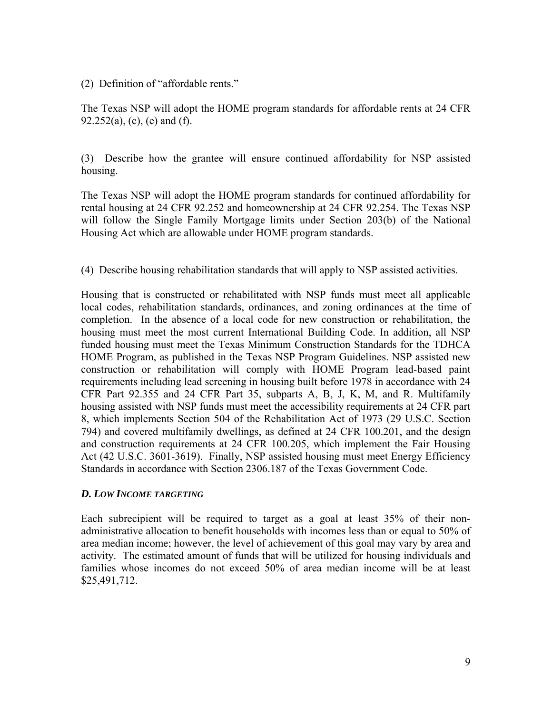(2) Definition of "affordable rents."

The Texas NSP will adopt the HOME program standards for affordable rents at 24 CFR  $92.252(a)$ , (c), (e) and (f).

(3) Describe how the grantee will ensure continued affordability for NSP assisted housing.

The Texas NSP will adopt the HOME program standards for continued affordability for rental housing at 24 CFR 92.252 and homeownership at 24 CFR 92.254. The Texas NSP will follow the Single Family Mortgage limits under Section 203(b) of the National Housing Act which are allowable under HOME program standards.

(4) Describe housing rehabilitation standards that will apply to NSP assisted activities.

Housing that is constructed or rehabilitated with NSP funds must meet all applicable local codes, rehabilitation standards, ordinances, and zoning ordinances at the time of completion. In the absence of a local code for new construction or rehabilitation, the housing must meet the most current International Building Code. In addition, all NSP funded housing must meet the Texas Minimum Construction Standards for the TDHCA HOME Program, as published in the Texas NSP Program Guidelines. NSP assisted new construction or rehabilitation will comply with HOME Program lead-based paint requirements including lead screening in housing built before 1978 in accordance with 24 CFR Part 92.355 and 24 CFR Part 35, subparts A, B, J, K, M, and R. Multifamily housing assisted with NSP funds must meet the accessibility requirements at 24 CFR part 8, which implements Section 504 of the Rehabilitation Act of 1973 (29 U.S.C. Section 794) and covered multifamily dwellings, as defined at 24 CFR 100.201, and the design and construction requirements at 24 CFR 100.205, which implement the Fair Housing Act (42 U.S.C. 3601-3619). Finally, NSP assisted housing must meet Energy Efficiency Standards in accordance with Section 2306.187 of the Texas Government Code.

# *D. LOW INCOME TARGETING*

Each subrecipient will be required to target as a goal at least 35% of their nonadministrative allocation to benefit households with incomes less than or equal to 50% of area median income; however, the level of achievement of this goal may vary by area and activity. The estimated amount of funds that will be utilized for housing individuals and families whose incomes do not exceed 50% of area median income will be at least \$25,491,712.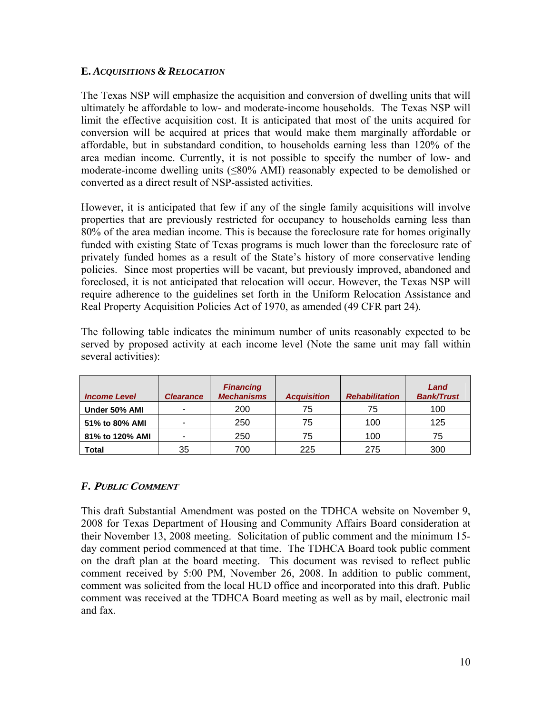# **E.** *ACQUISITIONS & RELOCATION*

The Texas NSP will emphasize the acquisition and conversion of dwelling units that will ultimately be affordable to low- and moderate-income households. The Texas NSP will limit the effective acquisition cost. It is anticipated that most of the units acquired for conversion will be acquired at prices that would make them marginally affordable or affordable, but in substandard condition, to households earning less than 120% of the area median income. Currently, it is not possible to specify the number of low- and moderate-income dwelling units (≤80% AMI) reasonably expected to be demolished or converted as a direct result of NSP-assisted activities.

However, it is anticipated that few if any of the single family acquisitions will involve properties that are previously restricted for occupancy to households earning less than 80% of the area median income. This is because the foreclosure rate for homes originally funded with existing State of Texas programs is much lower than the foreclosure rate of privately funded homes as a result of the State's history of more conservative lending policies. Since most properties will be vacant, but previously improved, abandoned and foreclosed, it is not anticipated that relocation will occur. However, the Texas NSP will require adherence to the guidelines set forth in the Uniform Relocation Assistance and Real Property Acquisition Policies Act of 1970, as amended (49 CFR part 24).

The following table indicates the minimum number of units reasonably expected to be served by proposed activity at each income level (Note the same unit may fall within several activities):

| <b>Income Level</b> | <b>Clearance</b> | <b>Financing</b><br><b>Mechanisms</b> | <b>Acquisition</b> | <b>Rehabilitation</b> | Land<br><b>Bank/Trust</b> |
|---------------------|------------------|---------------------------------------|--------------------|-----------------------|---------------------------|
| Under 50% AMI       |                  | 200                                   | 75                 | 75                    | 100                       |
| 51% to 80% AMI      | -                | 250                                   | 75                 | 100                   | 125                       |
| 81% to 120% AMI     | -                | 250                                   | 75                 | 100                   | 75                        |
| Total               | 35               | 700                                   | 225                | 275                   | 300                       |

# *F.* **<sup>P</sup>UBLIC COMMENT**

This draft Substantial Amendment was posted on the TDHCA website on November 9, 2008 for Texas Department of Housing and Community Affairs Board consideration at their November 13, 2008 meeting. Solicitation of public comment and the minimum 15 day comment period commenced at that time. The TDHCA Board took public comment on the draft plan at the board meeting. This document was revised to reflect public comment received by 5:00 PM, November 26, 2008. In addition to public comment, comment was solicited from the local HUD office and incorporated into this draft. Public comment was received at the TDHCA Board meeting as well as by mail, electronic mail and fax.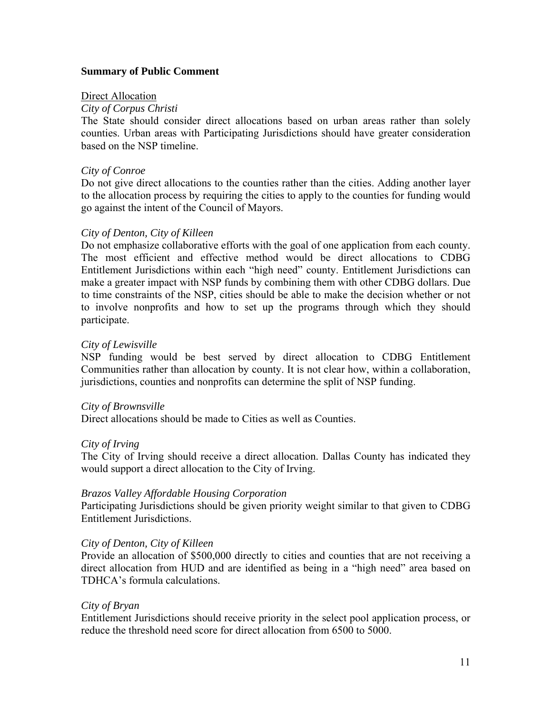## **Summary of Public Comment**

#### Direct Allocation

## *City of Corpus Christi*

The State should consider direct allocations based on urban areas rather than solely counties. Urban areas with Participating Jurisdictions should have greater consideration based on the NSP timeline.

## *City of Conroe*

Do not give direct allocations to the counties rather than the cities. Adding another layer to the allocation process by requiring the cities to apply to the counties for funding would go against the intent of the Council of Mayors.

## *City of Denton, City of Killeen*

Do not emphasize collaborative efforts with the goal of one application from each county. The most efficient and effective method would be direct allocations to CDBG Entitlement Jurisdictions within each "high need" county. Entitlement Jurisdictions can make a greater impact with NSP funds by combining them with other CDBG dollars. Due to time constraints of the NSP, cities should be able to make the decision whether or not to involve nonprofits and how to set up the programs through which they should participate.

## *City of Lewisville*

NSP funding would be best served by direct allocation to CDBG Entitlement Communities rather than allocation by county. It is not clear how, within a collaboration, jurisdictions, counties and nonprofits can determine the split of NSP funding.

## *City of Brownsville*

Direct allocations should be made to Cities as well as Counties.

## *City of Irving*

The City of Irving should receive a direct allocation. Dallas County has indicated they would support a direct allocation to the City of Irving.

## *Brazos Valley Affordable Housing Corporation*

Participating Jurisdictions should be given priority weight similar to that given to CDBG Entitlement Jurisdictions.

## *City of Denton, City of Killeen*

Provide an allocation of \$500,000 directly to cities and counties that are not receiving a direct allocation from HUD and are identified as being in a "high need" area based on TDHCA's formula calculations.

## *City of Bryan*

Entitlement Jurisdictions should receive priority in the select pool application process, or reduce the threshold need score for direct allocation from 6500 to 5000.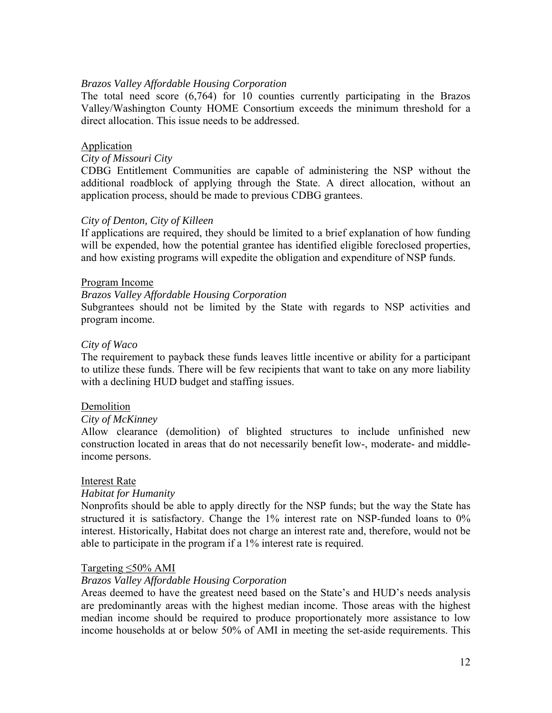## *Brazos Valley Affordable Housing Corporation*

The total need score (6,764) for 10 counties currently participating in the Brazos Valley/Washington County HOME Consortium exceeds the minimum threshold for a direct allocation. This issue needs to be addressed.

#### Application

## *City of Missouri City*

CDBG Entitlement Communities are capable of administering the NSP without the additional roadblock of applying through the State. A direct allocation, without an application process, should be made to previous CDBG grantees.

#### *City of Denton, City of Killeen*

If applications are required, they should be limited to a brief explanation of how funding will be expended, how the potential grantee has identified eligible foreclosed properties, and how existing programs will expedite the obligation and expenditure of NSP funds.

#### Program Income

#### *Brazos Valley Affordable Housing Corporation*

Subgrantees should not be limited by the State with regards to NSP activities and program income.

#### *City of Waco*

The requirement to payback these funds leaves little incentive or ability for a participant to utilize these funds. There will be few recipients that want to take on any more liability with a declining HUD budget and staffing issues.

#### Demolition

#### *City of McKinney*

Allow clearance (demolition) of blighted structures to include unfinished new construction located in areas that do not necessarily benefit low-, moderate- and middleincome persons.

#### Interest Rate

#### *Habitat for Humanity*

Nonprofits should be able to apply directly for the NSP funds; but the way the State has structured it is satisfactory. Change the 1% interest rate on NSP-funded loans to 0% interest. Historically, Habitat does not charge an interest rate and, therefore, would not be able to participate in the program if a 1% interest rate is required.

#### Targeting ≤50% AMI

#### *Brazos Valley Affordable Housing Corporation*

Areas deemed to have the greatest need based on the State's and HUD's needs analysis are predominantly areas with the highest median income. Those areas with the highest median income should be required to produce proportionately more assistance to low income households at or below 50% of AMI in meeting the set-aside requirements. This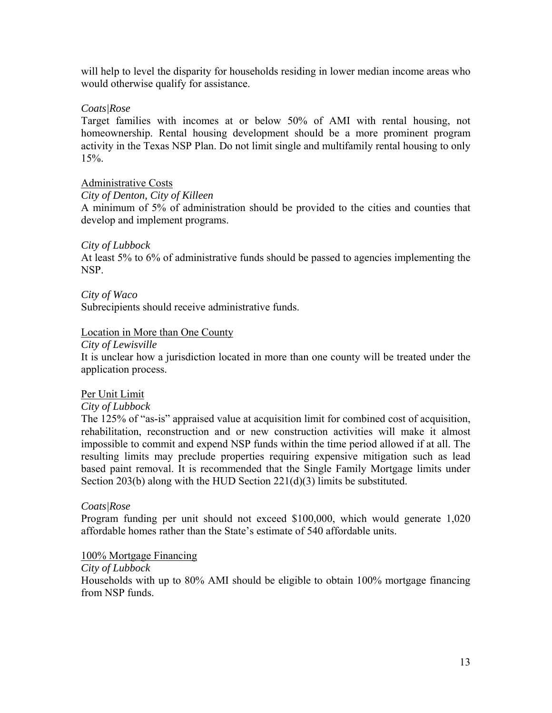will help to level the disparity for households residing in lower median income areas who would otherwise qualify for assistance.

## *Coats|Rose*

Target families with incomes at or below 50% of AMI with rental housing, not homeownership. Rental housing development should be a more prominent program activity in the Texas NSP Plan. Do not limit single and multifamily rental housing to only 15%.

## Administrative Costs

*City of Denton, City of Killeen* 

A minimum of 5% of administration should be provided to the cities and counties that develop and implement programs.

## *City of Lubbock*

At least 5% to 6% of administrative funds should be passed to agencies implementing the NSP.

*City of Waco*  Subrecipients should receive administrative funds.

## Location in More than One County

#### *City of Lewisville*

It is unclear how a jurisdiction located in more than one county will be treated under the application process.

## Per Unit Limit

## *City of Lubbock*

The 125% of "as-is" appraised value at acquisition limit for combined cost of acquisition, rehabilitation, reconstruction and or new construction activities will make it almost impossible to commit and expend NSP funds within the time period allowed if at all. The resulting limits may preclude properties requiring expensive mitigation such as lead based paint removal. It is recommended that the Single Family Mortgage limits under Section 203(b) along with the HUD Section 221(d)(3) limits be substituted.

## *Coats|Rose*

Program funding per unit should not exceed \$100,000, which would generate 1,020 affordable homes rather than the State's estimate of 540 affordable units.

## 100% Mortgage Financing

## *City of Lubbock*

Households with up to 80% AMI should be eligible to obtain 100% mortgage financing from NSP funds.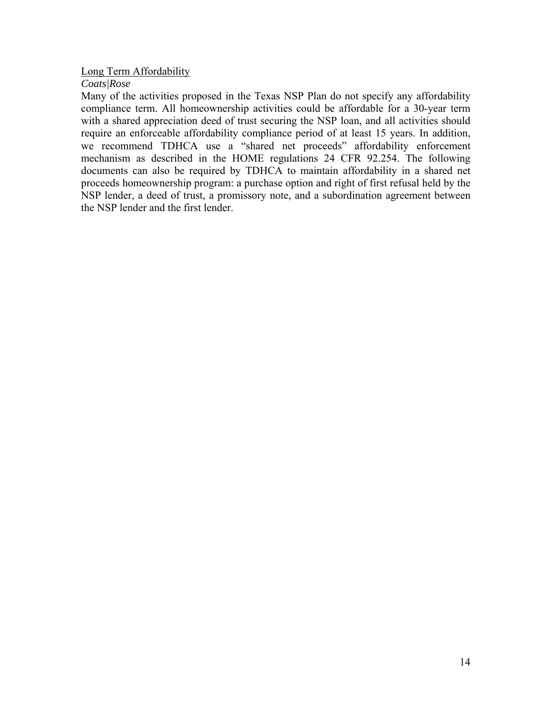## Long Term Affordability

## *Coats|Rose*

Many of the activities proposed in the Texas NSP Plan do not specify any affordability compliance term. All homeownership activities could be affordable for a 30-year term with a shared appreciation deed of trust securing the NSP loan, and all activities should require an enforceable affordability compliance period of at least 15 years. In addition, we recommend TDHCA use a "shared net proceeds" affordability enforcement mechanism as described in the HOME regulations 24 CFR 92.254. The following documents can also be required by TDHCA to maintain affordability in a shared net proceeds homeownership program: a purchase option and right of first refusal held by the NSP lender, a deed of trust, a promissory note, and a subordination agreement between the NSP lender and the first lender.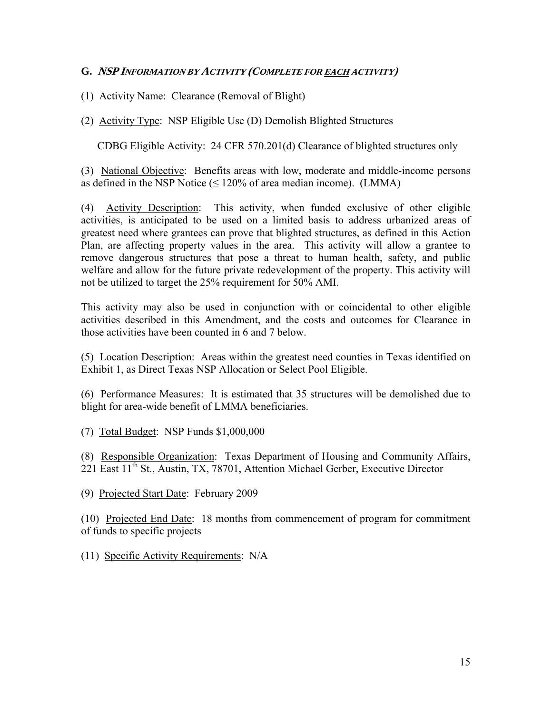(1) Activity Name: Clearance (Removal of Blight)

(2) Activity Type: NSP Eligible Use (D) Demolish Blighted Structures

CDBG Eligible Activity: 24 CFR 570.201(d) Clearance of blighted structures only

(3) National Objective: Benefits areas with low, moderate and middle-income persons as defined in the NSP Notice  $(\leq 120\%$  of area median income). (LMMA)

(4) Activity Description: This activity, when funded exclusive of other eligible activities, is anticipated to be used on a limited basis to address urbanized areas of greatest need where grantees can prove that blighted structures, as defined in this Action Plan, are affecting property values in the area. This activity will allow a grantee to remove dangerous structures that pose a threat to human health, safety, and public welfare and allow for the future private redevelopment of the property. This activity will not be utilized to target the 25% requirement for 50% AMI.

This activity may also be used in conjunction with or coincidental to other eligible activities described in this Amendment, and the costs and outcomes for Clearance in those activities have been counted in 6 and 7 below.

(5) Location Description: Areas within the greatest need counties in Texas identified on Exhibit 1, as Direct Texas NSP Allocation or Select Pool Eligible.

(6) Performance Measures: It is estimated that 35 structures will be demolished due to blight for area-wide benefit of LMMA beneficiaries.

(7) Total Budget: NSP Funds \$1,000,000

(8) Responsible Organization: Texas Department of Housing and Community Affairs, 221 East 11<sup>th</sup> St., Austin, TX, 78701, Attention Michael Gerber, Executive Director

(9) Projected Start Date: February 2009

(10) Projected End Date: 18 months from commencement of program for commitment of funds to specific projects

(11) Specific Activity Requirements: N/A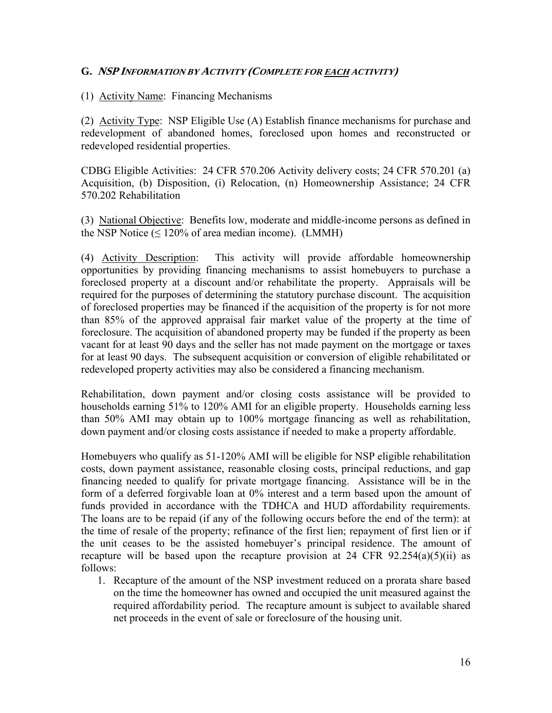(1) Activity Name: Financing Mechanisms

(2) Activity Type: NSP Eligible Use (A) Establish finance mechanisms for purchase and redevelopment of abandoned homes, foreclosed upon homes and reconstructed or redeveloped residential properties.

CDBG Eligible Activities: 24 CFR 570.206 Activity delivery costs; 24 CFR 570.201 (a) Acquisition, (b) Disposition, (i) Relocation, (n) Homeownership Assistance; 24 CFR 570.202 Rehabilitation

(3) National Objective: Benefits low, moderate and middle-income persons as defined in the NSP Notice  $( \leq 120\%$  of area median income). (LMMH)

(4) Activity Description: This activity will provide affordable homeownership opportunities by providing financing mechanisms to assist homebuyers to purchase a foreclosed property at a discount and/or rehabilitate the property. Appraisals will be required for the purposes of determining the statutory purchase discount. The acquisition of foreclosed properties may be financed if the acquisition of the property is for not more than 85% of the approved appraisal fair market value of the property at the time of foreclosure. The acquisition of abandoned property may be funded if the property as been vacant for at least 90 days and the seller has not made payment on the mortgage or taxes for at least 90 days. The subsequent acquisition or conversion of eligible rehabilitated or redeveloped property activities may also be considered a financing mechanism.

Rehabilitation, down payment and/or closing costs assistance will be provided to households earning 51% to 120% AMI for an eligible property. Households earning less than 50% AMI may obtain up to 100% mortgage financing as well as rehabilitation, down payment and/or closing costs assistance if needed to make a property affordable.

Homebuyers who qualify as 51-120% AMI will be eligible for NSP eligible rehabilitation costs, down payment assistance, reasonable closing costs, principal reductions, and gap financing needed to qualify for private mortgage financing. Assistance will be in the form of a deferred forgivable loan at 0% interest and a term based upon the amount of funds provided in accordance with the TDHCA and HUD affordability requirements. The loans are to be repaid (if any of the following occurs before the end of the term): at the time of resale of the property; refinance of the first lien; repayment of first lien or if the unit ceases to be the assisted homebuyer's principal residence. The amount of recapture will be based upon the recapture provision at 24 CFR  $92.254(a)(5)(ii)$  as follows:

1. Recapture of the amount of the NSP investment reduced on a prorata share based on the time the homeowner has owned and occupied the unit measured against the required affordability period. The recapture amount is subject to available shared net proceeds in the event of sale or foreclosure of the housing unit.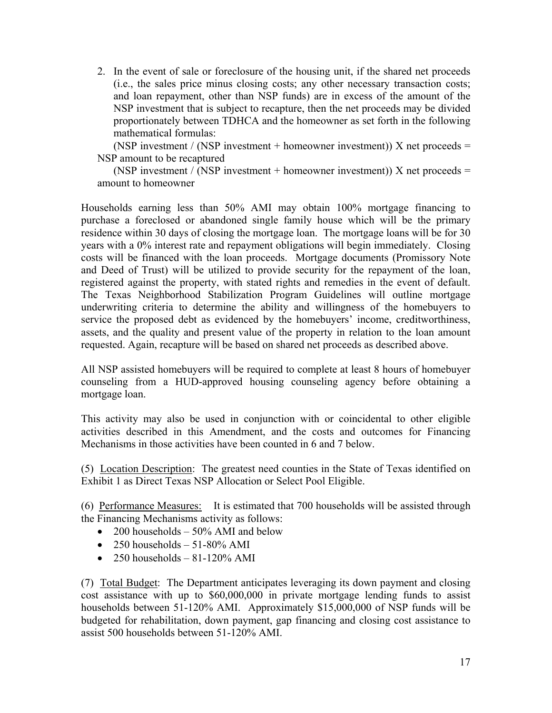2. In the event of sale or foreclosure of the housing unit, if the shared net proceeds (i.e., the sales price minus closing costs; any other necessary transaction costs; and loan repayment, other than NSP funds) are in excess of the amount of the NSP investment that is subject to recapture, then the net proceeds may be divided proportionately between TDHCA and the homeowner as set forth in the following mathematical formulas:

(NSP investment / (NSP investment + homeowner investment)) X net proceeds = NSP amount to be recaptured

(NSP investment / (NSP investment + homeowner investment)) X net proceeds = amount to homeowner

Households earning less than 50% AMI may obtain 100% mortgage financing to purchase a foreclosed or abandoned single family house which will be the primary residence within 30 days of closing the mortgage loan. The mortgage loans will be for 30 years with a 0% interest rate and repayment obligations will begin immediately. Closing costs will be financed with the loan proceeds. Mortgage documents (Promissory Note and Deed of Trust) will be utilized to provide security for the repayment of the loan, registered against the property, with stated rights and remedies in the event of default. The Texas Neighborhood Stabilization Program Guidelines will outline mortgage underwriting criteria to determine the ability and willingness of the homebuyers to service the proposed debt as evidenced by the homebuyers' income, creditworthiness, assets, and the quality and present value of the property in relation to the loan amount requested. Again, recapture will be based on shared net proceeds as described above.

All NSP assisted homebuyers will be required to complete at least 8 hours of homebuyer counseling from a HUD-approved housing counseling agency before obtaining a mortgage loan.

This activity may also be used in conjunction with or coincidental to other eligible activities described in this Amendment, and the costs and outcomes for Financing Mechanisms in those activities have been counted in 6 and 7 below.

(5) Location Description: The greatest need counties in the State of Texas identified on Exhibit 1 as Direct Texas NSP Allocation or Select Pool Eligible.

(6) Performance Measures: It is estimated that 700 households will be assisted through the Financing Mechanisms activity as follows:

- 200 households  $-50\%$  AMI and below
- 250 households  $-51-80\%$  AMI
- 250 households  $-81-120\%$  AMI

(7) Total Budget: The Department anticipates leveraging its down payment and closing cost assistance with up to \$60,000,000 in private mortgage lending funds to assist households between 51-120% AMI. Approximately \$15,000,000 of NSP funds will be budgeted for rehabilitation, down payment, gap financing and closing cost assistance to assist 500 households between 51-120% AMI.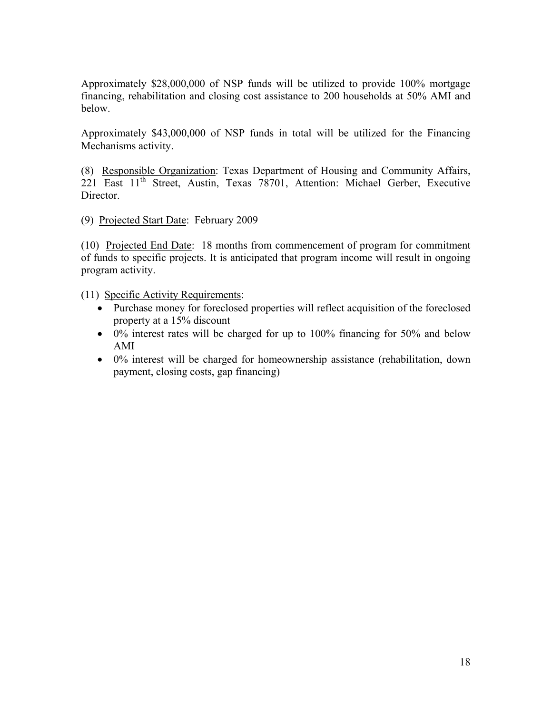Approximately \$28,000,000 of NSP funds will be utilized to provide 100% mortgage financing, rehabilitation and closing cost assistance to 200 households at 50% AMI and below.

Approximately \$43,000,000 of NSP funds in total will be utilized for the Financing Mechanisms activity.

(8) Responsible Organization: Texas Department of Housing and Community Affairs, 221 East 11th Street, Austin, Texas 78701, Attention: Michael Gerber, Executive Director.

(9) Projected Start Date: February 2009

(10) Projected End Date: 18 months from commencement of program for commitment of funds to specific projects. It is anticipated that program income will result in ongoing program activity.

(11) Specific Activity Requirements:

- Purchase money for foreclosed properties will reflect acquisition of the foreclosed property at a 15% discount
- 0% interest rates will be charged for up to 100% financing for 50% and below AMI
- 0% interest will be charged for homeownership assistance (rehabilitation, down payment, closing costs, gap financing)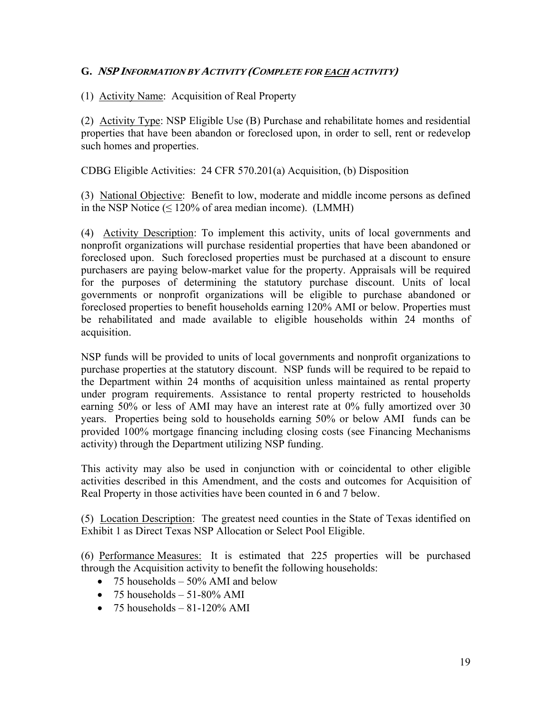(1) Activity Name: Acquisition of Real Property

(2) Activity Type: NSP Eligible Use (B) Purchase and rehabilitate homes and residential properties that have been abandon or foreclosed upon, in order to sell, rent or redevelop such homes and properties.

CDBG Eligible Activities: 24 CFR 570.201(a) Acquisition, (b) Disposition

(3) National Objective: Benefit to low, moderate and middle income persons as defined in the NSP Notice  $(\leq 120\%$  of area median income). (LMMH)

(4) Activity Description: To implement this activity, units of local governments and nonprofit organizations will purchase residential properties that have been abandoned or foreclosed upon. Such foreclosed properties must be purchased at a discount to ensure purchasers are paying below-market value for the property. Appraisals will be required for the purposes of determining the statutory purchase discount. Units of local governments or nonprofit organizations will be eligible to purchase abandoned or foreclosed properties to benefit households earning 120% AMI or below. Properties must be rehabilitated and made available to eligible households within 24 months of acquisition.

NSP funds will be provided to units of local governments and nonprofit organizations to purchase properties at the statutory discount. NSP funds will be required to be repaid to the Department within 24 months of acquisition unless maintained as rental property under program requirements. Assistance to rental property restricted to households earning 50% or less of AMI may have an interest rate at 0% fully amortized over 30 years. Properties being sold to households earning 50% or below AMI funds can be provided 100% mortgage financing including closing costs (see Financing Mechanisms activity) through the Department utilizing NSP funding.

This activity may also be used in conjunction with or coincidental to other eligible activities described in this Amendment, and the costs and outcomes for Acquisition of Real Property in those activities have been counted in 6 and 7 below.

(5) Location Description: The greatest need counties in the State of Texas identified on Exhibit 1 as Direct Texas NSP Allocation or Select Pool Eligible.

(6) Performance Measures: It is estimated that 225 properties will be purchased through the Acquisition activity to benefit the following households:

- 75 households  $-50\%$  AMI and below
- 75 households  $51-80\%$  AMI
- 75 households  $-81-120\%$  AMI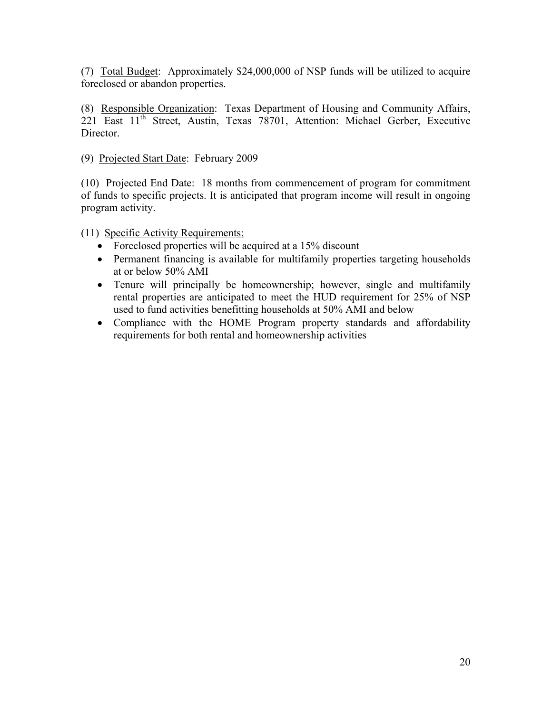(7) Total Budget: Approximately \$24,000,000 of NSP funds will be utilized to acquire foreclosed or abandon properties.

(8) Responsible Organization: Texas Department of Housing and Community Affairs,  $221$  East  $11<sup>th</sup>$  Street, Austin, Texas 78701, Attention: Michael Gerber, Executive Director.

(9) Projected Start Date: February 2009

(10) Projected End Date: 18 months from commencement of program for commitment of funds to specific projects. It is anticipated that program income will result in ongoing program activity.

(11) Specific Activity Requirements:

- Foreclosed properties will be acquired at a 15% discount
- Permanent financing is available for multifamily properties targeting households at or below 50% AMI
- Tenure will principally be homeownership; however, single and multifamily rental properties are anticipated to meet the HUD requirement for 25% of NSP used to fund activities benefitting households at 50% AMI and below
- Compliance with the HOME Program property standards and affordability requirements for both rental and homeownership activities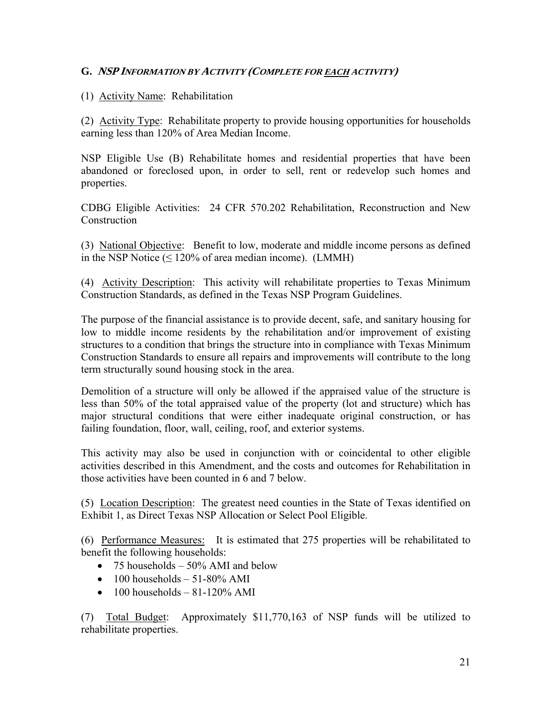# (1) Activity Name: Rehabilitation

(2) Activity Type: Rehabilitate property to provide housing opportunities for households earning less than 120% of Area Median Income.

NSP Eligible Use (B) Rehabilitate homes and residential properties that have been abandoned or foreclosed upon, in order to sell, rent or redevelop such homes and properties.

CDBG Eligible Activities: 24 CFR 570.202 Rehabilitation, Reconstruction and New **Construction** 

(3) National Objective: Benefit to low, moderate and middle income persons as defined in the NSP Notice  $(\leq 120\%$  of area median income). (LMMH)

(4) Activity Description: This activity will rehabilitate properties to Texas Minimum Construction Standards, as defined in the Texas NSP Program Guidelines.

The purpose of the financial assistance is to provide decent, safe, and sanitary housing for low to middle income residents by the rehabilitation and/or improvement of existing structures to a condition that brings the structure into in compliance with Texas Minimum Construction Standards to ensure all repairs and improvements will contribute to the long term structurally sound housing stock in the area.

Demolition of a structure will only be allowed if the appraised value of the structure is less than 50% of the total appraised value of the property (lot and structure) which has major structural conditions that were either inadequate original construction, or has failing foundation, floor, wall, ceiling, roof, and exterior systems.

This activity may also be used in conjunction with or coincidental to other eligible activities described in this Amendment, and the costs and outcomes for Rehabilitation in those activities have been counted in 6 and 7 below.

(5) Location Description: The greatest need counties in the State of Texas identified on Exhibit 1, as Direct Texas NSP Allocation or Select Pool Eligible.

(6) Performance Measures: It is estimated that 275 properties will be rehabilitated to benefit the following households:

- 75 households  $-50\%$  AMI and below
- $\bullet$  100 households 51-80% AMI
- $\bullet$  100 households 81-120% AMI

(7) Total Budget: Approximately \$11,770,163 of NSP funds will be utilized to rehabilitate properties.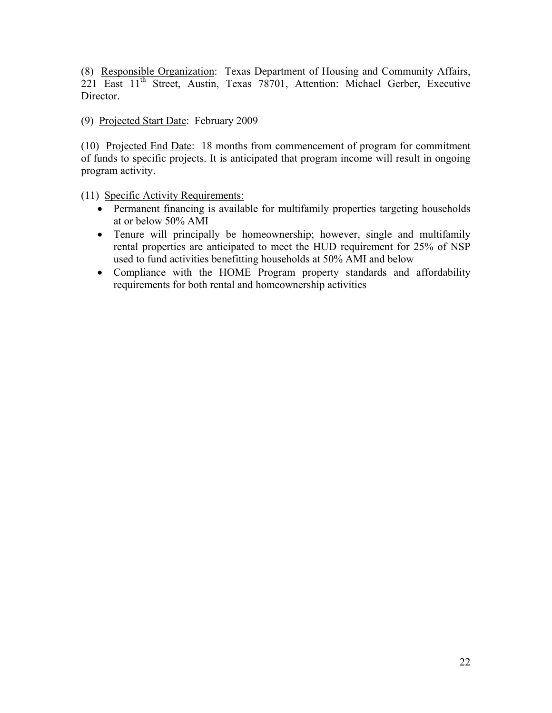(8) Responsible Organization: Texas Department of Housing and Community Affairs, 221 East 11<sup>th</sup> Street, Austin, Texas 78701, Attention: Michael Gerber, Executive Director.

(9) Projected Start Date: February 2009

(10) Projected End Date: 18 months from commencement of program for commitment of funds to specific projects. It is anticipated that program income will result in ongoing program activity.

(11) Specific Activity Requirements:

- Permanent financing is available for multifamily properties targeting households at or below 50% AMI
- Tenure will principally be homeownership; however, single and multifamily rental properties are anticipated to meet the HUD requirement for 25% of NSP used to fund activities benefitting households at 50% AMI and below
- Compliance with the HOME Program property standards and affordability requirements for both rental and homeownership activities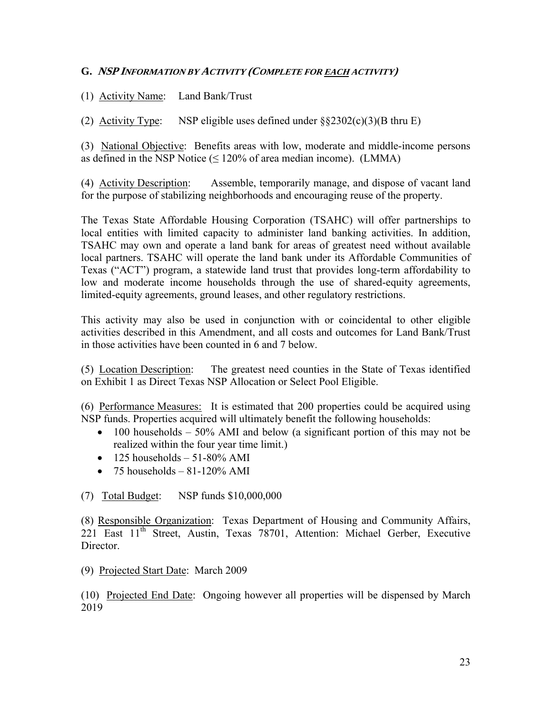(1) Activity Name: Land Bank/Trust

(2) Activity Type: NSP eligible uses defined under  $\S$ §2302(c)(3)(B thru E)

(3) National Objective: Benefits areas with low, moderate and middle-income persons as defined in the NSP Notice  $(\leq 120\%$  of area median income). (LMMA)

(4) Activity Description: Assemble, temporarily manage, and dispose of vacant land for the purpose of stabilizing neighborhoods and encouraging reuse of the property.

The Texas State Affordable Housing Corporation (TSAHC) will offer partnerships to local entities with limited capacity to administer land banking activities. In addition, TSAHC may own and operate a land bank for areas of greatest need without available local partners. TSAHC will operate the land bank under its Affordable Communities of Texas ("ACT") program, a statewide land trust that provides long-term affordability to low and moderate income households through the use of shared-equity agreements, limited-equity agreements, ground leases, and other regulatory restrictions.

This activity may also be used in conjunction with or coincidental to other eligible activities described in this Amendment, and all costs and outcomes for Land Bank/Trust in those activities have been counted in 6 and 7 below.

(5) Location Description: The greatest need counties in the State of Texas identified on Exhibit 1 as Direct Texas NSP Allocation or Select Pool Eligible.

(6) Performance Measures: It is estimated that 200 properties could be acquired using NSP funds. Properties acquired will ultimately benefit the following households:

- 100 households  $-50\%$  AMI and below (a significant portion of this may not be realized within the four year time limit.)
- $\bullet$  125 households 51-80% AMI
- 75 households  $81-120\%$  AMI

(7) Total Budget: NSP funds \$10,000,000

(8) Responsible Organization: Texas Department of Housing and Community Affairs, 221 East 11<sup>th</sup> Street, Austin, Texas 78701, Attention: Michael Gerber, Executive Director.

(9) Projected Start Date: March 2009

(10) Projected End Date: Ongoing however all properties will be dispensed by March 2019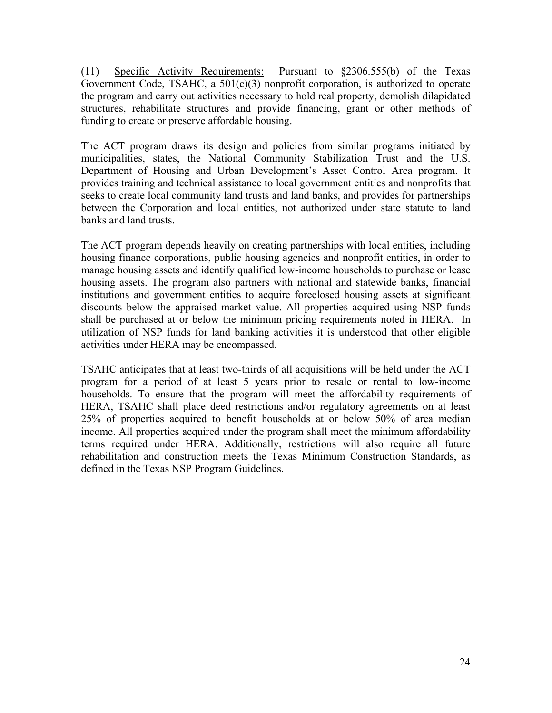(11) Specific Activity Requirements: Pursuant to §2306.555(b) of the Texas Government Code, TSAHC, a 501(c)(3) nonprofit corporation, is authorized to operate the program and carry out activities necessary to hold real property, demolish dilapidated structures, rehabilitate structures and provide financing, grant or other methods of funding to create or preserve affordable housing.

The ACT program draws its design and policies from similar programs initiated by municipalities, states, the National Community Stabilization Trust and the U.S. Department of Housing and Urban Development's Asset Control Area program. It provides training and technical assistance to local government entities and nonprofits that seeks to create local community land trusts and land banks, and provides for partnerships between the Corporation and local entities, not authorized under state statute to land banks and land trusts.

The ACT program depends heavily on creating partnerships with local entities, including housing finance corporations, public housing agencies and nonprofit entities, in order to manage housing assets and identify qualified low-income households to purchase or lease housing assets. The program also partners with national and statewide banks, financial institutions and government entities to acquire foreclosed housing assets at significant discounts below the appraised market value. All properties acquired using NSP funds shall be purchased at or below the minimum pricing requirements noted in HERA. In utilization of NSP funds for land banking activities it is understood that other eligible activities under HERA may be encompassed.

TSAHC anticipates that at least two-thirds of all acquisitions will be held under the ACT program for a period of at least 5 years prior to resale or rental to low-income households. To ensure that the program will meet the affordability requirements of HERA, TSAHC shall place deed restrictions and/or regulatory agreements on at least 25% of properties acquired to benefit households at or below 50% of area median income. All properties acquired under the program shall meet the minimum affordability terms required under HERA. Additionally, restrictions will also require all future rehabilitation and construction meets the Texas Minimum Construction Standards, as defined in the Texas NSP Program Guidelines.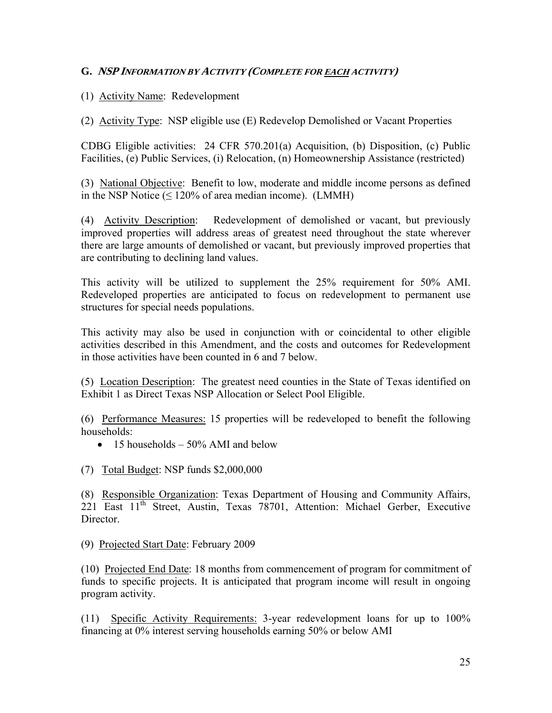# (1) Activity Name: Redevelopment

(2) Activity Type: NSP eligible use (E) Redevelop Demolished or Vacant Properties

CDBG Eligible activities: 24 CFR 570.201(a) Acquisition, (b) Disposition, (c) Public Facilities, (e) Public Services, (i) Relocation, (n) Homeownership Assistance (restricted)

(3) National Objective: Benefit to low, moderate and middle income persons as defined in the NSP Notice  $(\leq 120\%$  of area median income). (LMMH)

(4) Activity Description: Redevelopment of demolished or vacant, but previously improved properties will address areas of greatest need throughout the state wherever there are large amounts of demolished or vacant, but previously improved properties that are contributing to declining land values.

This activity will be utilized to supplement the 25% requirement for 50% AMI. Redeveloped properties are anticipated to focus on redevelopment to permanent use structures for special needs populations.

This activity may also be used in conjunction with or coincidental to other eligible activities described in this Amendment, and the costs and outcomes for Redevelopment in those activities have been counted in 6 and 7 below.

(5) Location Description: The greatest need counties in the State of Texas identified on Exhibit 1 as Direct Texas NSP Allocation or Select Pool Eligible.

(6) Performance Measures: 15 properties will be redeveloped to benefit the following households:

- 15 households  $-50\%$  AMI and below
- (7) Total Budget: NSP funds \$2,000,000

(8) Responsible Organization: Texas Department of Housing and Community Affairs, 221 East 11<sup>th</sup> Street, Austin, Texas 78701, Attention: Michael Gerber, Executive **Director** 

(9) Projected Start Date: February 2009

(10) Projected End Date: 18 months from commencement of program for commitment of funds to specific projects. It is anticipated that program income will result in ongoing program activity.

(11) Specific Activity Requirements: 3-year redevelopment loans for up to 100% financing at 0% interest serving households earning 50% or below AMI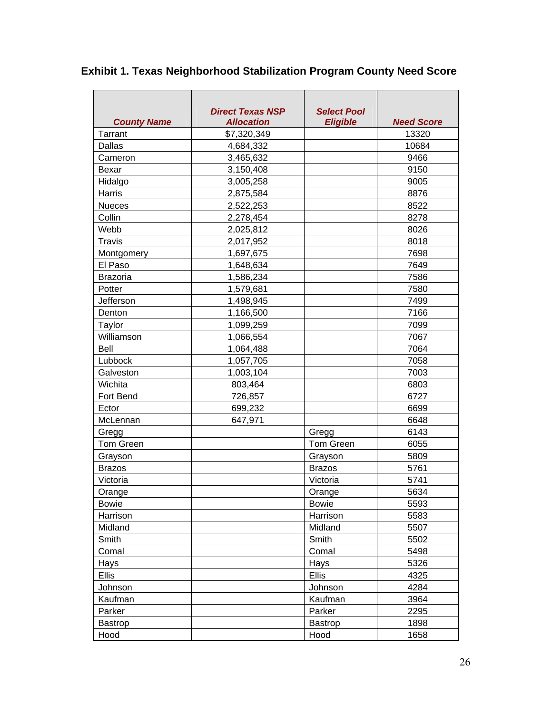| <b>Exhibit 1. Texas Neighborhood Stabilization Program County Need Score</b> |  |  |
|------------------------------------------------------------------------------|--|--|
|------------------------------------------------------------------------------|--|--|

| <b>County Name</b> | <b>Direct Texas NSP</b><br><b>Allocation</b> | <b>Select Pool</b><br><b>Eligible</b> | <b>Need Score</b> |
|--------------------|----------------------------------------------|---------------------------------------|-------------------|
| <b>Tarrant</b>     | \$7,320,349                                  |                                       | 13320             |
| Dallas             | 4,684,332                                    |                                       | 10684             |
| Cameron            | 3,465,632                                    |                                       | 9466              |
| Bexar              | 3,150,408                                    |                                       | 9150              |
| Hidalgo            | 3,005,258                                    |                                       | 9005              |
| Harris             | 2,875,584                                    |                                       | 8876              |
| <b>Nueces</b>      | 2,522,253                                    |                                       | 8522              |
| Collin             | 2,278,454                                    |                                       | 8278              |
| Webb               | 2,025,812                                    |                                       | 8026              |
| <b>Travis</b>      | 2,017,952                                    |                                       | 8018              |
| Montgomery         | 1,697,675                                    |                                       | 7698              |
| El Paso            | 1,648,634                                    |                                       | 7649              |
| <b>Brazoria</b>    | 1,586,234                                    |                                       | 7586              |
| Potter             | 1,579,681                                    |                                       | 7580              |
| Jefferson          | 1,498,945                                    |                                       | 7499              |
| Denton             | 1,166,500                                    |                                       | 7166              |
| Taylor             | 1,099,259                                    |                                       | 7099              |
| Williamson         | 1,066,554                                    |                                       | 7067              |
| Bell               | 1,064,488                                    |                                       | 7064              |
| Lubbock            | 1,057,705                                    |                                       | 7058              |
| Galveston          | 1,003,104                                    |                                       | 7003              |
| Wichita            | 803,464                                      |                                       | 6803              |
| <b>Fort Bend</b>   | 726,857                                      |                                       | 6727              |
| Ector              | 699,232                                      |                                       | 6699              |
| McLennan           | 647,971                                      |                                       | 6648              |
| Gregg              |                                              | Gregg                                 | 6143              |
| <b>Tom Green</b>   |                                              | <b>Tom Green</b>                      | 6055              |
| Grayson            |                                              | Grayson                               | 5809              |
| <b>Brazos</b>      |                                              | <b>Brazos</b>                         | 5761              |
| Victoria           |                                              | Victoria                              | 5741              |
| Orange             |                                              | Orange                                | 5634              |
| <b>Bowie</b>       |                                              | <b>Bowie</b>                          | 5593              |
| Harrison           |                                              | Harrison                              | 5583              |
| Midland            |                                              | Midland                               | 5507              |
| Smith              |                                              | Smith                                 | 5502              |
| Comal              |                                              | Comal                                 | 5498              |
| Hays               |                                              | Hays                                  | 5326              |
| <b>Ellis</b>       |                                              | <b>Ellis</b>                          | 4325              |
| Johnson            |                                              | Johnson                               | 4284              |
| Kaufman            |                                              | Kaufman                               | 3964              |
| Parker             |                                              | Parker                                | 2295              |
| <b>Bastrop</b>     |                                              | Bastrop                               | 1898              |
| Hood               |                                              | Hood                                  | 1658              |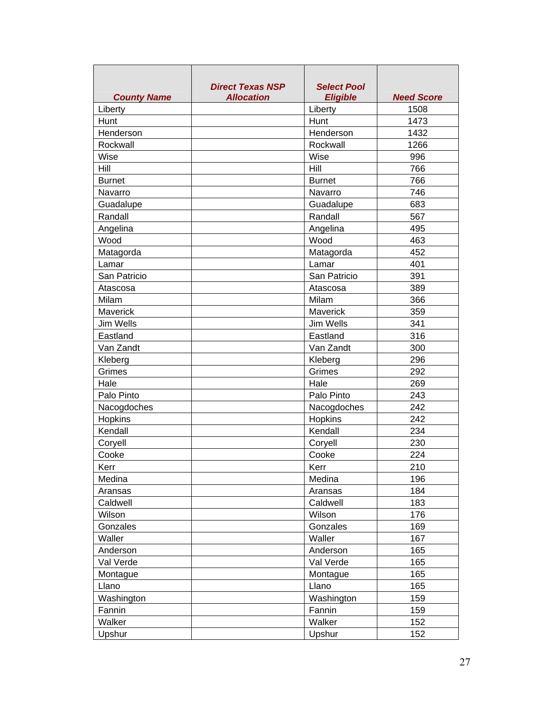| <b>County Name</b> | <b>Direct Texas NSP</b><br><b>Allocation</b> | <b>Select Pool</b><br><b>Eligible</b> | <b>Need Score</b> |
|--------------------|----------------------------------------------|---------------------------------------|-------------------|
| Liberty            |                                              | Liberty                               | 1508              |
| Hunt               |                                              | Hunt                                  | 1473              |
| Henderson          |                                              | Henderson                             | 1432              |
| Rockwall           |                                              | Rockwall                              | 1266              |
| Wise               |                                              | Wise                                  | 996               |
| Hill               |                                              | Hill                                  | 766               |
| <b>Burnet</b>      |                                              | <b>Burnet</b>                         | 766               |
| Navarro            |                                              | Navarro                               | 746               |
| Guadalupe          |                                              | Guadalupe                             | 683               |
| Randall            |                                              | Randall                               | 567               |
| Angelina           |                                              | Angelina                              | 495               |
| Wood               |                                              | Wood                                  | 463               |
| Matagorda          |                                              | Matagorda                             | 452               |
| Lamar              |                                              | Lamar                                 | 401               |
| San Patricio       |                                              | San Patricio                          | 391               |
| Atascosa           |                                              | Atascosa                              | 389               |
| Milam              |                                              | Milam                                 | 366               |
| <b>Maverick</b>    |                                              | <b>Maverick</b>                       | 359               |
| <b>Jim Wells</b>   |                                              | Jim Wells                             | 341               |
| Eastland           |                                              | Eastland                              | 316               |
| Van Zandt          |                                              | Van Zandt                             | 300               |
| Kleberg            |                                              | Kleberg                               | 296               |
| Grimes             |                                              | Grimes                                | 292               |
| Hale               |                                              | Hale                                  | 269               |
| Palo Pinto         |                                              | Palo Pinto                            | 243               |
| Nacogdoches        |                                              | Nacogdoches                           | 242               |
| Hopkins            |                                              | Hopkins                               | 242               |
| Kendall            |                                              | Kendall                               | 234               |
| Coryell            |                                              | Coryell                               | 230               |
| Cooke              |                                              | Cooke                                 | 224               |
| Kerr               |                                              | Kerr                                  | 210               |
| Medina             |                                              | Medina                                | 196               |
| Aransas            |                                              | Aransas                               | 184               |
| Caldwell           |                                              | Caldwell                              | 183               |
| Wilson             |                                              | Wilson                                | 176               |
| Gonzales           |                                              | Gonzales                              | 169               |
| Waller             |                                              | Waller                                | 167               |
| Anderson           |                                              | Anderson                              | 165               |
| Val Verde          |                                              | Val Verde                             | 165               |
| Montague           |                                              | Montague                              | 165               |
| Llano              |                                              | Llano                                 | 165               |
| Washington         |                                              | Washington                            | 159               |
| Fannin             |                                              | Fannin                                | 159               |
| Walker             |                                              | Walker                                | 152               |
| Upshur             |                                              | Upshur                                | 152               |